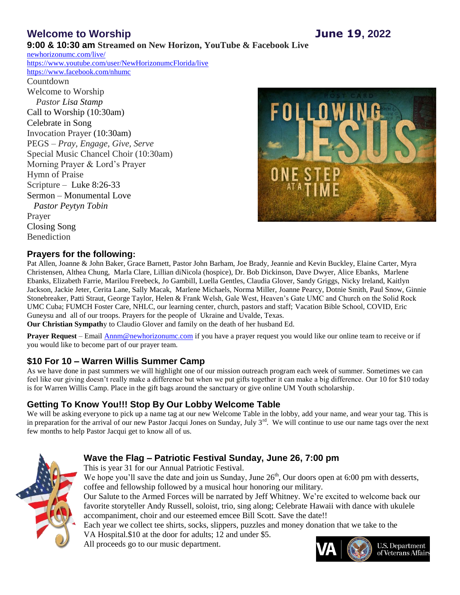# **Welcome to Worship June 19, 2022**

**9:00 & 10:30 am Streamed on New Horizon, YouTube & Facebook Live**

[newhorizonumc.com/live/](https://newhorizonumc.com/live/)

<https://www.youtube.com/user/NewHorizonumcFlorida/live> <https://www.facebook.com/nhumc>

Countdown Welcome to Worship *Pastor Lisa Stamp*  Call to Worship (10:30am) Celebrate in Song Invocation Prayer (10:30am) PEGS – *Pray, Engage, Give, Serve* Special Music Chancel Choir (10:30am) Morning Prayer & Lord's Prayer Hymn of Praise Scripture – Luke 8:26-33 Sermon – Monumental Love *Pastor Peytyn Tobin* Prayer and the set of the set of the set of the set of the set of the set of the set of the set of the set of the set of the set of the set of the set of the set of the set of the set of the set of the set of the set of th Closing Song Benediction



# **Prayers for the following:**

Pat Allen, Joanne & John Baker, Grace Barnett, Pastor John Barham, Joe Brady, Jeannie and Kevin Buckley, Elaine Carter, Myra Christensen, Althea Chung, Marla Clare, Lillian diNicola (hospice), Dr. Bob Dickinson, Dave Dwyer, Alice Ebanks, Marlene Ebanks, Elizabeth Farrie, Marilou Freebeck, Jo Gambill, Luella Gentles, Claudia Glover, Sandy Griggs, Nicky Ireland, Kaitlyn Jackson, Jackie Jeter, Cerita Lane, Sally Macak, Marlene Michaels, Norma Miller, Joanne Pearcy, Dotnie Smith, Paul Snow, Ginnie Stonebreaker, Patti Straut, George Taylor, Helen & Frank Welsh, Gale West, Heaven's Gate UMC and Church on the Solid Rock UMC Cuba; FUMCH Foster Care, NHLC, our learning center, church, pastors and staff; Vacation Bible School, COVID, Eric Guneysu and all of our troops. Prayers for the people of Ukraine and Uvalde, Texas.

**Our Christian Sympath**y to Claudio Glover and family on the death of her husband Ed.

**Prayer Request** – Emai[l Annm@newhorizonumc.com](mailto:Annm@newhorizonumc.com) if you have a prayer request you would like our online team to receive or if you would like to become part of our prayer team.

## **\$10 For 10 – Warren Willis Summer Camp**

As we have done in past summers we will highlight one of our mission outreach program each week of summer. Sometimes we can feel like our giving doesn't really make a difference but when we put gifts together it can make a big difference. Our 10 for \$10 today is for Warren Willis Camp. Place in the gift bags around the sanctuary or give online UM Youth scholarship.

# **Getting To Know You!!! Stop By Our Lobby Welcome Table**

We will be asking everyone to pick up a name tag at our new Welcome Table in the lobby, add your name, and wear your tag. This is in preparation for the arrival of our new Pastor Jacqui Jones on Sunday, July 3<sup>rd</sup>. We will continue to use our name tags over the next few months to help Pastor Jacqui get to know all of us.



# **Wave the Flag – Patriotic Festival Sunday, June 26, 7:00 pm**

This is year 31 for our Annual Patriotic Festival.

We hope you'll save the date and join us Sunday, June  $26<sup>th</sup>$ , Our doors open at 6:00 pm with desserts, coffee and fellowship followed by a musical hour honoring our military.

Our Salute to the Armed Forces will be narrated by Jeff Whitney. We're excited to welcome back our favorite storyteller Andy Russell, soloist, trio, sing along; Celebrate Hawaii with dance with ukulele accompaniment, choir and our esteemed emcee Bill Scott. Save the date!!

Each year we collect tee shirts, socks, slippers, puzzles and money donation that we take to the

VA Hospital.\$10 at the door for adults; 12 and under \$5. All proceeds go to our music department.